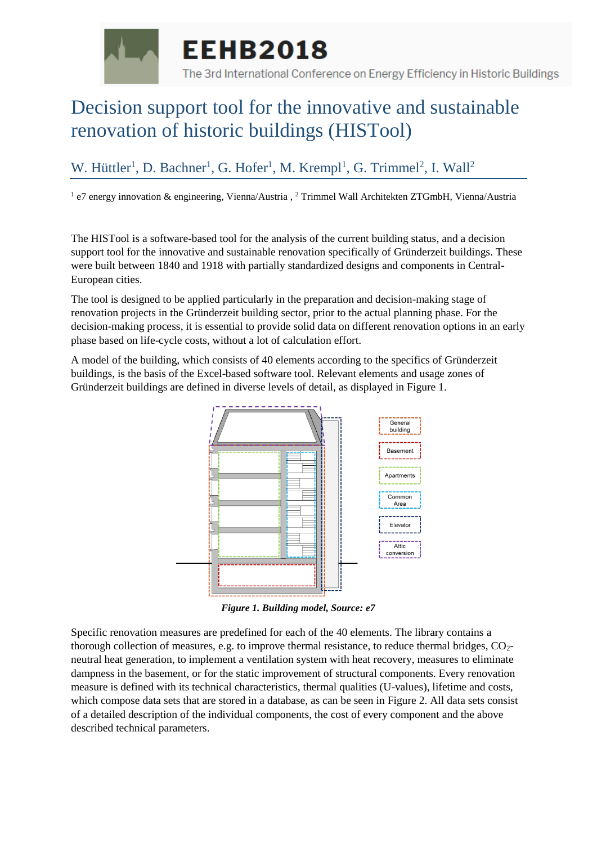

## Decision support tool for the innovative and sustainable renovation of historic buildings (HISTool)

## W. Hüttler<sup>1</sup>, D. Bachner<sup>1</sup>, G. Hofer<sup>1</sup>, M. Krempl<sup>1</sup>, G. Trimmel<sup>2</sup>, I. Wall<sup>2</sup>

<sup>1</sup> e7 energy innovation & engineering, Vienna/Austria, <sup>2</sup> Trimmel Wall Architekten ZTGmbH, Vienna/Austria

The HISTool is a software-based tool for the analysis of the current building status, and a decision support tool for the innovative and sustainable renovation specifically of Gründerzeit buildings. These were built between 1840 and 1918 with partially standardized designs and components in Central-European cities.

The tool is designed to be applied particularly in the preparation and decision-making stage of renovation projects in the Gründerzeit building sector, prior to the actual planning phase. For the decision-making process, it is essential to provide solid data on different renovation options in an early phase based on life-cycle costs, without a lot of calculation effort.

A model of the building, which consists of 40 elements according to the specifics of Gründerzeit buildings, is the basis of the Excel-based software tool. Relevant elements and usage zones of Gründerzeit buildings are defined in diverse levels of detail, as displayed in Figure 1.



*Figure 1. Building model, Source: e7*

Specific renovation measures are predefined for each of the 40 elements. The library contains a thorough collection of measures, e.g. to improve thermal resistance, to reduce thermal bridges, CO2 neutral heat generation, to implement a ventilation system with heat recovery, measures to eliminate dampness in the basement, or for the static improvement of structural components. Every renovation measure is defined with its technical characteristics, thermal qualities (U-values), lifetime and costs, which compose data sets that are stored in a database, as can be seen in Figure 2. All data sets consist of a detailed description of the individual components, the cost of every component and the above described technical parameters.